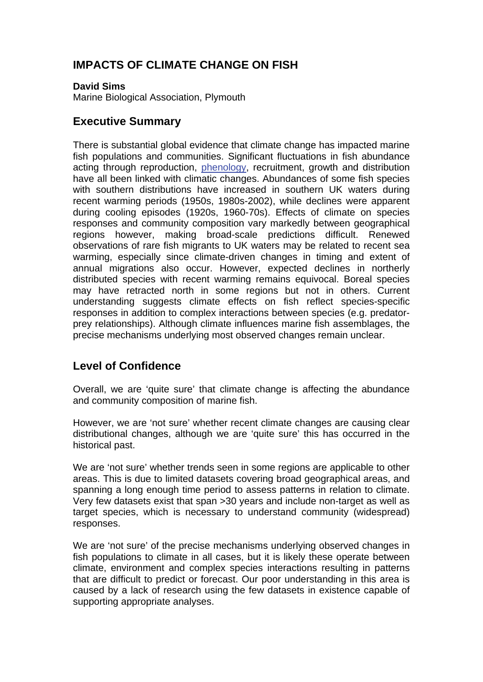# **IMPACTS OF CLIMATE CHANGE ON FISH**

#### **David Sims**

Marine Biological Association, Plymouth

#### **Executive Summary**

There is substantial global evidence that climate change has impacted marine fish populations and communities. Significant fluctuations in fish abundance acting through reproduction, [phenology,](http://www.mccip.org.uk/arc/glossary.htm) recruitment, growth and distribution have all been linked with climatic changes. Abundances of some fish species with southern distributions have increased in southern UK waters during recent warming periods (1950s, 1980s-2002), while declines were apparent during cooling episodes (1920s, 1960-70s). Effects of climate on species responses and community composition vary markedly between geographical regions however, making broad-scale predictions difficult. Renewed observations of rare fish migrants to UK waters may be related to recent sea warming, especially since climate-driven changes in timing and extent of annual migrations also occur. However, expected declines in northerly distributed species with recent warming remains equivocal. Boreal species may have retracted north in some regions but not in others. Current understanding suggests climate effects on fish reflect species-specific responses in addition to complex interactions between species (e.g. predatorprey relationships). Although climate influences marine fish assemblages, the precise mechanisms underlying most observed changes remain unclear.

## **Level of Confidence**

Overall, we are 'quite sure' that climate change is affecting the abundance and community composition of marine fish.

However, we are 'not sure' whether recent climate changes are causing clear distributional changes, although we are 'quite sure' this has occurred in the historical past.

We are 'not sure' whether trends seen in some regions are applicable to other areas. This is due to limited datasets covering broad geographical areas, and spanning a long enough time period to assess patterns in relation to climate. Very few datasets exist that span >30 years and include non-target as well as target species, which is necessary to understand community (widespread) responses.

We are 'not sure' of the precise mechanisms underlying observed changes in fish populations to climate in all cases, but it is likely these operate between climate, environment and complex species interactions resulting in patterns that are difficult to predict or forecast. Our poor understanding in this area is caused by a lack of research using the few datasets in existence capable of supporting appropriate analyses.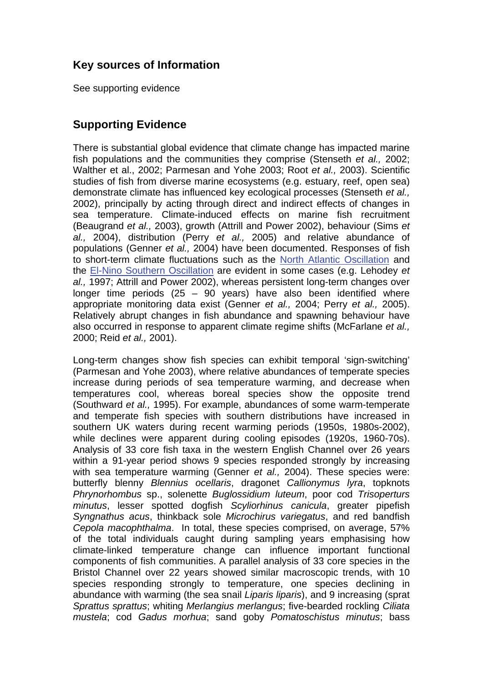# **Key sources of Information**

See supporting evidence

## **Supporting Evidence**

There is substantial global evidence that climate change has impacted marine fish populations and the communities they comprise (Stenseth *et al.,* 2002; Walther et al., 2002; Parmesan and Yohe 2003; Root *et al.,* 2003). Scientific studies of fish from diverse marine ecosystems (e.g. estuary, reef, open sea) demonstrate climate has influenced key ecological processes (Stenseth *et al.,* 2002), principally by acting through direct and indirect effects of changes in sea temperature. Climate-induced effects on marine fish recruitment (Beaugrand *et al.,* 2003), growth (Attrill and Power 2002), behaviour (Sims *et al.,* 2004), distribution (Perry *et al.,* 2005) and relative abundance of populations (Genner *et al.,* 2004) have been documented. Responses of fish to short-term climate fluctuations such as the [North Atlantic Oscillation](http://www.mccip.org.uk/arc/glossary.htm) and the [El-Nino Southern Oscillation](http://www.mccip.org.uk/arc/glossary.htm) are evident in some cases (e.g. Lehodey *et al.,* 1997; Attrill and Power 2002), whereas persistent long-term changes over longer time periods  $(25 - 90 \text{ years})$  have also been identified where appropriate monitoring data exist (Genner *et al.,* 2004; Perry *et al.,* 2005). Relatively abrupt changes in fish abundance and spawning behaviour have also occurred in response to apparent climate regime shifts (McFarlane *et al.,* 2000; Reid *et al.,* 2001).

Long-term changes show fish species can exhibit temporal 'sign-switching' (Parmesan and Yohe 2003), where relative abundances of temperate species increase during periods of sea temperature warming, and decrease when temperatures cool, whereas boreal species show the opposite trend (Southward *et al.,* 1995). For example, abundances of some warm-temperate and temperate fish species with southern distributions have increased in southern UK waters during recent warming periods (1950s, 1980s-2002), while declines were apparent during cooling episodes (1920s, 1960-70s). Analysis of 33 core fish taxa in the western English Channel over 26 years within a 91-year period shows 9 species responded strongly by increasing with sea temperature warming (Genner *et al.,* 2004). These species were: butterfly blenny *Blennius ocellaris*, dragonet *Callionymus lyra*, topknots *Phrynorhombus* sp., solenette *Buglossidium luteum*, poor cod *Trisoperturs minutus*, lesser spotted dogfish *Scyliorhinus canicula*, greater pipefish *Syngnathus acus*, thinkback sole *Microchirus variegatus*, and red bandfish *Cepola macophthalma*. In total, these species comprised, on average, 57% of the total individuals caught during sampling years emphasising how climate-linked temperature change can influence important functional components of fish communities. A parallel analysis of 33 core species in the Bristol Channel over 22 years showed similar macroscopic trends, with 10 species responding strongly to temperature, one species declining in abundance with warming (the sea snail *Liparis liparis*), and 9 increasing (sprat *Sprattus sprattus*; whiting *Merlangius merlangus*; five-bearded rockling *Ciliata mustela*; cod *Gadus morhua*; sand goby *Pomatoschistus minutus*; bass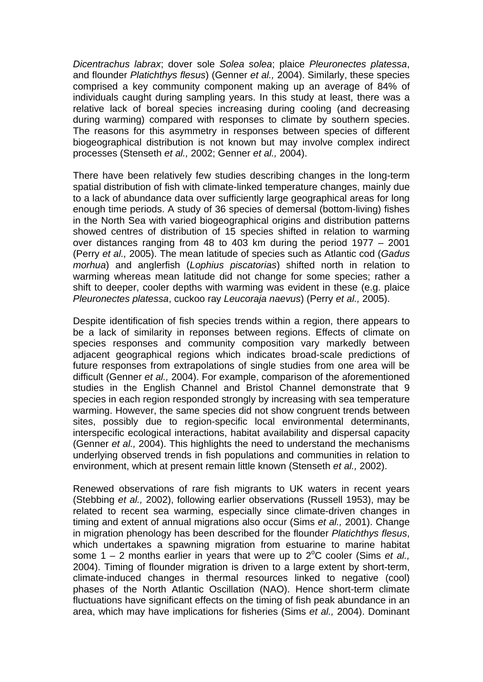*Dicentrachus labrax*; dover sole *Solea solea*; plaice *Pleuronectes platessa*, and flounder *Platichthys flesus*) (Genner *et al.,* 2004). Similarly, these species comprised a key community component making up an average of 84% of individuals caught during sampling years. In this study at least, there was a relative lack of boreal species increasing during cooling (and decreasing during warming) compared with responses to climate by southern species. The reasons for this asymmetry in responses between species of different biogeographical distribution is not known but may involve complex indirect processes (Stenseth *et al.,* 2002; Genner *et al.,* 2004).

There have been relatively few studies describing changes in the long-term spatial distribution of fish with climate-linked temperature changes, mainly due to a lack of abundance data over sufficiently large geographical areas for long enough time periods. A study of 36 species of demersal (bottom-living) fishes in the North Sea with varied biogeographical origins and distribution patterns showed centres of distribution of 15 species shifted in relation to warming over distances ranging from 48 to 403 km during the period 1977 – 2001 (Perry *et al.,* 2005). The mean latitude of species such as Atlantic cod (*Gadus morhua*) and anglerfish (*Lophius piscatorias*) shifted north in relation to warming whereas mean latitude did not change for some species; rather a shift to deeper, cooler depths with warming was evident in these (e.g. plaice *Pleuronectes platessa*, cuckoo ray *Leucoraja naevus*) (Perry *et al.,* 2005).

Despite identification of fish species trends within a region, there appears to be a lack of similarity in reponses between regions. Effects of climate on species responses and community composition vary markedly between adjacent geographical regions which indicates broad-scale predictions of future responses from extrapolations of single studies from one area will be difficult (Genner *et al.,* 2004). For example, comparison of the aforementioned studies in the English Channel and Bristol Channel demonstrate that 9 species in each region responded strongly by increasing with sea temperature warming. However, the same species did not show congruent trends between sites, possibly due to region-specific local environmental determinants, interspecific ecological interactions, habitat availability and dispersal capacity (Genner *et al.,* 2004). This highlights the need to understand the mechanisms underlying observed trends in fish populations and communities in relation to environment, which at present remain little known (Stenseth *et al.,* 2002).

Renewed observations of rare fish migrants to UK waters in recent years (Stebbing *et al.,* 2002), following earlier observations (Russell 1953), may be related to recent sea warming, especially since climate-driven changes in timing and extent of annual migrations also occur (Sims *et al.,* 2001). Change in migration phenology has been described for the flounder *Platichthys flesus*, which undertakes a spawning migration from estuarine to marine habitat some 1 – 2 months earlier in years that were up to 2<sup>o</sup>C cooler (Sims *et al.,* 2004). Timing of flounder migration is driven to a large extent by short-term, climate-induced changes in thermal resources linked to negative (cool) phases of the North Atlantic Oscillation (NAO). Hence short-term climate fluctuations have significant effects on the timing of fish peak abundance in an area, which may have implications for fisheries (Sims *et al.,* 2004). Dominant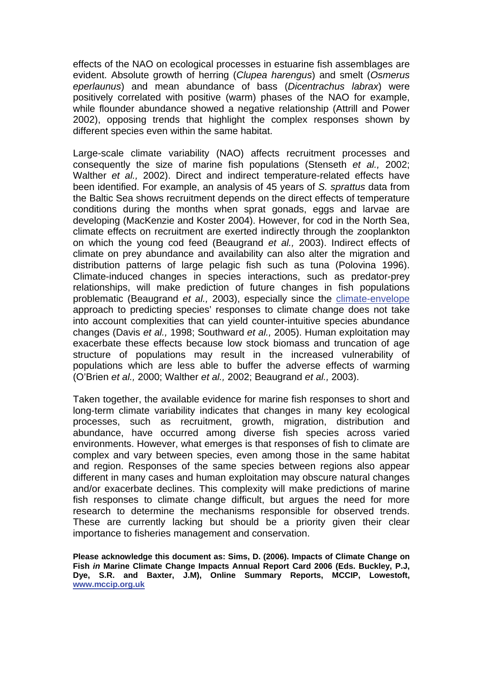effects of the NAO on ecological processes in estuarine fish assemblages are evident. Absolute growth of herring (*Clupea harengus*) and smelt (*Osmerus eperlaunus*) and mean abundance of bass (*Dicentrachus labrax*) were positively correlated with positive (warm) phases of the NAO for example, while flounder abundance showed a negative relationship (Attrill and Power 2002), opposing trends that highlight the complex responses shown by different species even within the same habitat.

Large-scale climate variability (NAO) affects recruitment processes and consequently the size of marine fish populations (Stenseth *et al.,* 2002; Walther *et al.,* 2002). Direct and indirect temperature-related effects have been identified. For example, an analysis of 45 years of *S. sprattus* data from the Baltic Sea shows recruitment depends on the direct effects of temperature conditions during the months when sprat gonads, eggs and larvae are developing (MacKenzie and Koster 2004). However, for cod in the North Sea, climate effects on recruitment are exerted indirectly through the zooplankton on which the young cod feed (Beaugrand *et al.,* 2003). Indirect effects of climate on prey abundance and availability can also alter the migration and distribution patterns of large pelagic fish such as tuna (Polovina 1996). Climate-induced changes in species interactions, such as predator-prey relationships, will make prediction of future changes in fish populations problematic (Beaugrand *et al.,* 2003), especially since the [climate-envelope](http://www.mccip.org.uk/arc/glossary.htm) approach to predicting species' responses to climate change does not take into account complexities that can yield counter-intuitive species abundance changes (Davis *et al.,* 1998; Southward *et al.,* 2005). Human exploitation may exacerbate these effects because low stock biomass and truncation of age structure of populations may result in the increased vulnerability of populations which are less able to buffer the adverse effects of warming (O'Brien *et al.,* 2000; Walther *et al.,* 2002; Beaugrand *et al.,* 2003).

Taken together, the available evidence for marine fish responses to short and long-term climate variability indicates that changes in many key ecological processes, such as recruitment, growth, migration, distribution and abundance, have occurred among diverse fish species across varied environments. However, what emerges is that responses of fish to climate are complex and vary between species, even among those in the same habitat and region. Responses of the same species between regions also appear different in many cases and human exploitation may obscure natural changes and/or exacerbate declines. This complexity will make predictions of marine fish responses to climate change difficult, but argues the need for more research to determine the mechanisms responsible for observed trends. These are currently lacking but should be a priority given their clear importance to fisheries management and conservation.

**Please acknowledge this document as: Sims, D. (2006). Impacts of Climate Change on Fish** *in* **Marine Climate Change Impacts Annual Report Card 2006 (Eds. Buckley, P.J, Dye, S.R. and Baxter, J.M), Online Summary Reports, MCCIP, Lowestoft, [www.mccip.org.uk](http://www.mccip.org.uk/)**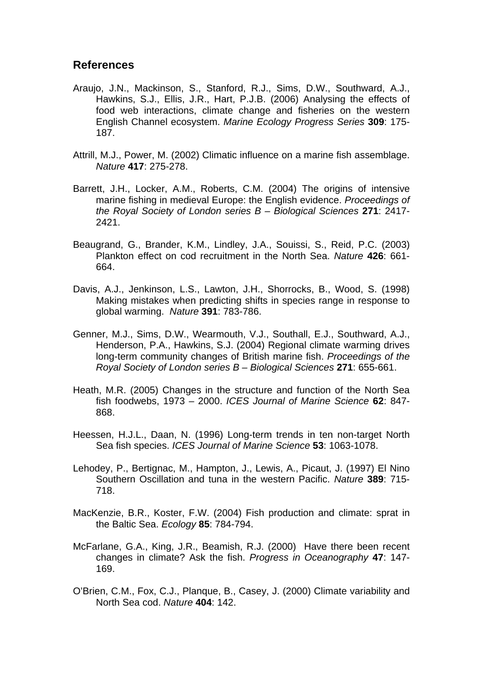#### **References**

- Araujo, J.N., Mackinson, S., Stanford, R.J., Sims, D.W., Southward, A.J., Hawkins, S.J., Ellis, J.R., Hart, P.J.B. (2006) Analysing the effects of food web interactions, climate change and fisheries on the western English Channel ecosystem. *Marine Ecology Progress Series* **309**: 175- 187.
- Attrill, M.J., Power, M. (2002) Climatic influence on a marine fish assemblage. *Nature* **417**: 275-278.
- Barrett, J.H., Locker, A.M., Roberts, C.M. (2004) The origins of intensive marine fishing in medieval Europe: the English evidence. *Proceedings of the Royal Society of London series B – Biological Sciences* **271**: 2417- 2421.
- Beaugrand, G., Brander, K.M., Lindley, J.A., Souissi, S., Reid, P.C. (2003) Plankton effect on cod recruitment in the North Sea. *Nature* **426**: 661- 664.
- Davis, A.J., Jenkinson, L.S., Lawton, J.H., Shorrocks, B., Wood, S. (1998) Making mistakes when predicting shifts in species range in response to global warming. *Nature* **391**: 783-786.
- Genner, M.J., Sims, D.W., Wearmouth, V.J., Southall, E.J., Southward, A.J., Henderson, P.A., Hawkins, S.J. (2004) Regional climate warming drives long-term community changes of British marine fish. *Proceedings of the Royal Society of London series B – Biological Sciences* **271**: 655-661.
- Heath, M.R. (2005) Changes in the structure and function of the North Sea fish foodwebs, 1973 – 2000. *ICES Journal of Marine Science* **62**: 847- 868.
- Heessen, H.J.L., Daan, N. (1996) Long-term trends in ten non-target North Sea fish species. *ICES Journal of Marine Science* **53**: 1063-1078.
- Lehodey, P., Bertignac, M., Hampton, J., Lewis, A., Picaut, J. (1997) El Nino Southern Oscillation and tuna in the western Pacific. *Nature* **389**: 715- 718.
- MacKenzie, B.R., Koster, F.W. (2004) Fish production and climate: sprat in the Baltic Sea. *Ecology* **85**: 784-794.
- McFarlane, G.A., King, J.R., Beamish, R.J. (2000) Have there been recent changes in climate? Ask the fish. *Progress in Oceanography* **47**: 147- 169.
- O'Brien, C.M., Fox, C.J., Planque, B., Casey, J. (2000) Climate variability and North Sea cod. *Nature* **404**: 142.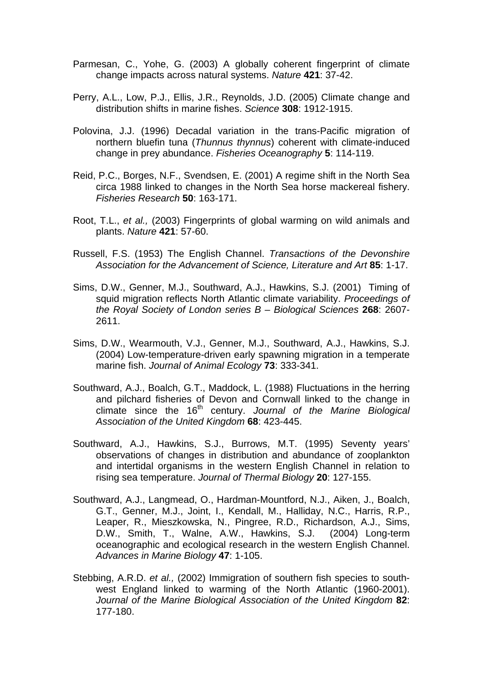- Parmesan, C., Yohe, G. (2003) A globally coherent fingerprint of climate change impacts across natural systems. *Nature* **421**: 37-42.
- Perry, A.L., Low, P.J., Ellis, J.R., Reynolds, J.D. (2005) Climate change and distribution shifts in marine fishes. *Science* **308**: 1912-1915.
- Polovina, J.J. (1996) Decadal variation in the trans-Pacific migration of northern bluefin tuna (*Thunnus thynnus*) coherent with climate-induced change in prey abundance. *Fisheries Oceanography* **5**: 114-119.
- Reid, P.C., Borges, N.F., Svendsen, E. (2001) A regime shift in the North Sea circa 1988 linked to changes in the North Sea horse mackereal fishery. *Fisheries Research* **50**: 163-171.
- Root, T.L., *et al.,* (2003) Fingerprints of global warming on wild animals and plants. *Nature* **421**: 57-60.
- Russell, F.S. (1953) The English Channel. *Transactions of the Devonshire Association for the Advancement of Science, Literature and Art* **85**: 1-17.
- Sims, D.W., Genner, M.J., Southward, A.J., Hawkins, S.J. (2001) Timing of squid migration reflects North Atlantic climate variability. *Proceedings of the Royal Society of London series B – Biological Sciences* **268**: 2607- 2611.
- Sims, D.W., Wearmouth, V.J., Genner, M.J., Southward, A.J., Hawkins, S.J. (2004) Low-temperature-driven early spawning migration in a temperate marine fish. *Journal of Animal Ecology* **73**: 333-341.
- Southward, A.J., Boalch, G.T., Maddock, L. (1988) Fluctuations in the herring and pilchard fisheries of Devon and Cornwall linked to the change in climate since the 16<sup>th</sup> century. Journal of the Marine Biological *Association of the United Kingdom* **68**: 423-445.
- Southward, A.J., Hawkins, S.J., Burrows, M.T. (1995) Seventy years' observations of changes in distribution and abundance of zooplankton and intertidal organisms in the western English Channel in relation to rising sea temperature. *Journal of Thermal Biology* **20**: 127-155.
- Southward, A.J., Langmead, O., Hardman-Mountford, N.J., Aiken, J., Boalch, G.T., Genner, M.J., Joint, I., Kendall, M., Halliday, N.C., Harris, R.P., Leaper, R., Mieszkowska, N., Pingree, R.D., Richardson, A.J., Sims, D.W., Smith, T., Walne, A.W., Hawkins, S.J. (2004) Long-term oceanographic and ecological research in the western English Channel. *Advances in Marine Biology* **47**: 1-105.
- Stebbing, A.R.D. *et al.,* (2002) Immigration of southern fish species to southwest England linked to warming of the North Atlantic (1960-2001). *Journal of the Marine Biological Association of the United Kingdom* **82**: 177-180.